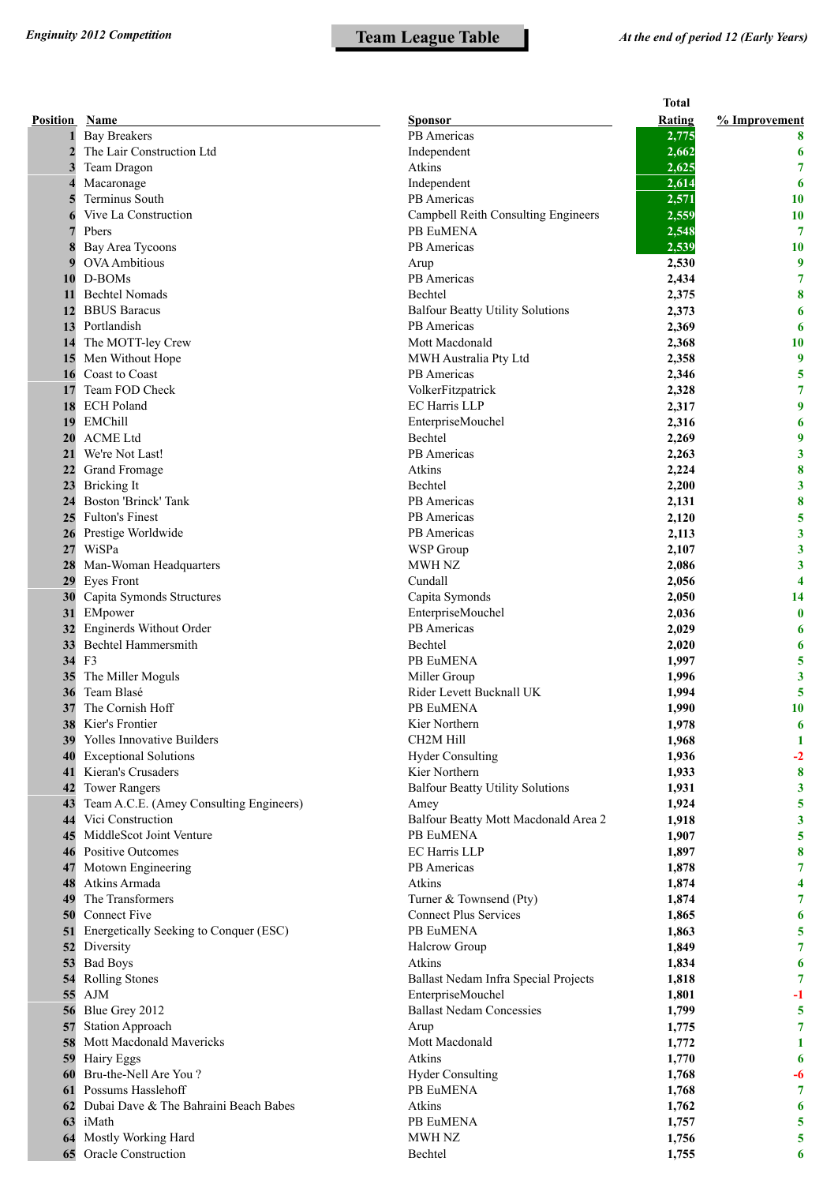|                 |                                         |                                         | <b>Total</b>   |                         |
|-----------------|-----------------------------------------|-----------------------------------------|----------------|-------------------------|
| <b>Position</b> | Name                                    | Sponsor                                 | Rating         | % Improvement           |
|                 | <b>Bay Breakers</b>                     | PB Americas                             | 2,775          | 8                       |
| $\overline{2}$  | The Lair Construction Ltd               | Independent                             | 2,662          | 6                       |
| 3               | Team Dragon                             | Atkins                                  | 2,625          | 7                       |
| 4               | Macaronage                              | Independent                             | 2,614          | 6                       |
|                 | Terminus South                          | PB Americas                             | 2,571          | 10                      |
| 6               | Vive La Construction                    | Campbell Reith Consulting Engineers     | 2,559          | 10                      |
| 7               | Pbers                                   | PB EuMENA                               | 2,548          | 7                       |
| 8               | Bay Area Tycoons                        | PB Americas                             | 2,539          | <b>10</b>               |
| 9               | <b>OVA</b> Ambitious                    | Arup                                    | 2,530          | 9                       |
| 10              | D-BOMs                                  | PB Americas                             | 2,434          | 7                       |
| 11              | <b>Bechtel Nomads</b>                   | Bechtel                                 | 2,375          | 8                       |
| 12              | <b>BBUS</b> Baracus                     | <b>Balfour Beatty Utility Solutions</b> | 2,373          | 6                       |
| 13              | Portlandish                             | PB Americas                             | 2,369          | 6                       |
| 14              | The MOTT-ley Crew                       | Mott Macdonald                          | 2,368          | 10                      |
| 15              | Men Without Hope                        | MWH Australia Pty Ltd                   | 2,358          | 9                       |
| 16              | Coast to Coast                          | PB Americas                             | 2,346          | 5                       |
| 17              | Team FOD Check                          | VolkerFitzpatrick                       | 2,328          | 7                       |
| 18              | <b>ECH Poland</b>                       | EC Harris LLP                           | 2,317          | 9                       |
| 19              | EMChill                                 | EnterpriseMouchel                       | 2,316          | 6                       |
| 20              | <b>ACME Ltd</b>                         | Bechtel                                 | 2,269          | 9                       |
| 21              | We're Not Last!                         | PB Americas                             | 2,263          | 3                       |
| 22              | Grand Fromage                           | Atkins                                  | 2,224          | 8                       |
| 23              | <b>Bricking It</b>                      | Bechtel                                 | 2,200          | $\overline{\mathbf{3}}$ |
| 24              | Boston 'Brinck' Tank                    | PB Americas                             | 2,131          | 8                       |
| 25              | <b>Fulton's Finest</b>                  | PB Americas                             | 2,120          | 5                       |
| 26              | Prestige Worldwide                      | PB Americas                             | 2,113          | 3                       |
| 27              | WiSPa                                   | WSP Group                               | 2,107          | $\mathbf{3}$            |
| 28              | Man-Woman Headquarters                  | MWH NZ                                  | 2,086          | 3                       |
| 29              | <b>Eyes Front</b>                       | Cundall                                 | 2,056          | 4                       |
| 30              | Capita Symonds Structures               | Capita Symonds                          | 2,050          | 14                      |
| 31              | EMpower<br>Enginerds Without Order      | EnterpriseMouchel<br>PB Americas        | 2,036          | $\bf{0}$                |
| 32<br>33        | Bechtel Hammersmith                     | <b>Bechtel</b>                          | 2,029          | 6                       |
| 34              | F <sub>3</sub>                          | PB EuMENA                               | 2,020<br>1,997 | 6<br>5                  |
| 35              | The Miller Moguls                       | Miller Group                            | 1,996          | 3                       |
| 36              | Team Blasé                              | Rider Levett Bucknall UK                | 1,994          | 5                       |
| 37              | The Cornish Hoff                        | PB EuMENA                               | 1,990          | 10                      |
| 38              | Kier's Frontier                         | Kier Northern                           | 1,978          | 6                       |
| 39              | Yolles Innovative Builders              | CH <sub>2</sub> M Hill                  | 1,968          | 1                       |
| 40              | <b>Exceptional Solutions</b>            | <b>Hyder Consulting</b>                 | 1,936          | $-2$                    |
| 41              | Kieran's Crusaders                      | Kier Northern                           | 1,933          | 8                       |
| 42              | <b>Tower Rangers</b>                    | <b>Balfour Beatty Utility Solutions</b> | 1,931          | $\mathbf{3}$            |
| 43              | Team A.C.E. (Amey Consulting Engineers) | Amey                                    | 1,924          | 5                       |
| 44              | Vici Construction                       | Balfour Beatty Mott Macdonald Area 2    | 1,918          | $\mathbf{3}$            |
| 45              | MiddleScot Joint Venture                | PB EuMENA                               | 1,907          | 5                       |
| 46              | <b>Positive Outcomes</b>                | EC Harris LLP                           | 1,897          | 8                       |
| 47              | Motown Engineering                      | PB Americas                             | 1,878          | $\overline{7}$          |
| 48              | Atkins Armada                           | Atkins                                  | 1,874          | 4                       |
| 49              | The Transformers                        | Turner & Townsend (Pty)                 | 1,874          | 7                       |
| 50              | Connect Five                            | <b>Connect Plus Services</b>            | 1,865          | 6                       |
| 51              | Energetically Seeking to Conquer (ESC)  | PB EuMENA                               | 1,863          | 5                       |
|                 | 52 Diversity                            | Halcrow Group                           | 1,849          | 7                       |
| 53              | <b>Bad Boys</b>                         | Atkins                                  | 1,834          | 6                       |
| 54              | <b>Rolling Stones</b>                   | Ballast Nedam Infra Special Projects    | 1,818          | 7                       |
| 55              | AJM                                     | EnterpriseMouchel                       | 1,801          | -1                      |
| 56              | Blue Grey 2012                          | <b>Ballast Nedam Concessies</b>         | 1,799          | 5                       |
| 57              | <b>Station Approach</b>                 | Arup                                    | 1,775          | $\overline{7}$          |
| 58              | Mott Macdonald Mavericks                | Mott Macdonald                          | 1,772          | 1                       |
| 59              | Hairy Eggs                              | Atkins                                  | 1,770          | 6                       |
| 60              | Bru-the-Nell Are You?                   | <b>Hyder Consulting</b>                 | 1,768          | -6                      |
| 61              | Possums Hasslehoff                      | PB EuMENA                               | 1,768          | 7                       |
| 62              | Dubai Dave & The Bahraini Beach Babes   | Atkins                                  | 1,762          | 6                       |
| 63              | iMath                                   | PB EuMENA                               | 1,757          | 5                       |
| 64              | Mostly Working Hard                     | <b>MWH NZ</b>                           | 1,756          | 5                       |
| 65              | Oracle Construction                     | Bechtel                                 | 1,755          | 6                       |